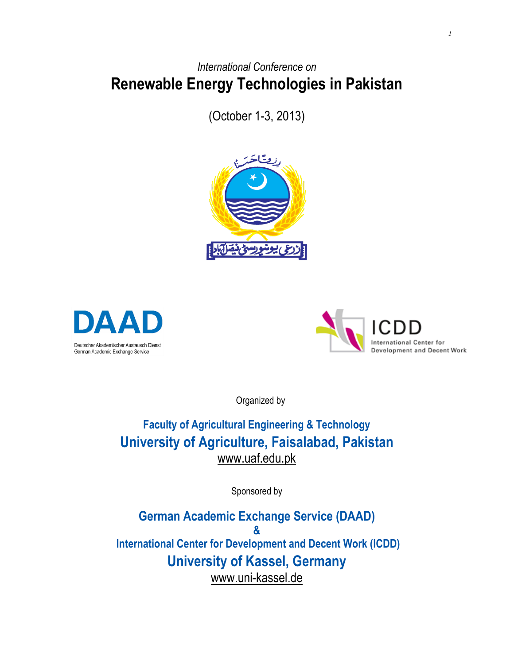## *International Conference on* **Renewable Energy Technologies in Pakistan**

(October 1-3, 2013)







Organized by

## **Faculty of Agricultural Engineering & Technology University of Agriculture, Faisalabad, Pakistan** [www.uaf.edu.pk](http://www.uaf.edu.pk/)

Sponsored by

**German Academic Exchange Service (DAAD) & International Center for Development and Decent Work (ICDD) University of Kassel, Germany** www.uni-kassel.de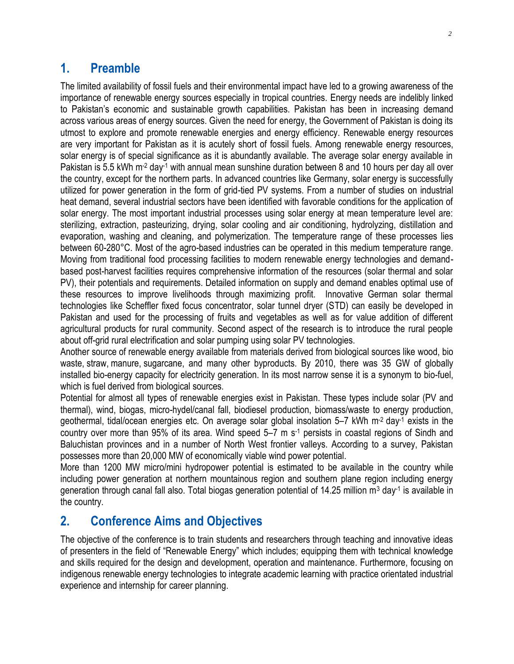#### **1. Preamble**

The limited availability of fossil fuels and their environmental impact have led to a growing awareness of the importance of renewable energy sources especially in tropical countries. Energy needs are indelibly linked to Pakistan's economic and sustainable growth capabilities. Pakistan has been in increasing demand across various areas of energy sources. Given the need for energy, the Government of Pakistan is doing its utmost to explore and promote renewable energies and energy efficiency. Renewable energy resources are very important for Pakistan as it is acutely short of fossil fuels. Among renewable energy resources, solar energy is of special significance as it is abundantly available. The average solar energy available in Pakistan is 5.5 kWh m<sup>-2</sup> day<sup>-1</sup> with annual mean sunshine duration between 8 and 10 hours per day all over the country, except for the northern parts. In advanced countries like Germany, solar energy is successfully utilized for power generation in the form of grid-tied PV systems. From a number of studies on industrial heat demand, several industrial sectors have been identified with favorable conditions for the application of solar energy. The most important industrial processes using solar energy at mean temperature level are: sterilizing, extraction, pasteurizing, drying, solar cooling and air conditioning, hydrolyzing, distillation and evaporation, washing and cleaning, and polymerization. The temperature range of these processes lies between 60-280°C. Most of the agro-based industries can be operated in this medium temperature range. Moving from traditional food processing facilities to modern renewable energy technologies and demandbased post-harvest facilities requires comprehensive information of the resources (solar thermal and solar PV), their potentials and requirements. Detailed information on supply and demand enables optimal use of these resources to improve livelihoods through maximizing profit. Innovative German solar thermal technologies like Scheffler fixed focus concentrator, solar tunnel dryer (STD) can easily be developed in Pakistan and used for the processing of fruits and vegetables as well as for value addition of different agricultural products for rural community. Second aspect of the research is to introduce the rural people about off-grid rural electrification and solar pumping using solar PV technologies.

Another source of [renewable energy](http://en.wikipedia.org/wiki/Renewable_energy) available from materials derived from biological sources like [wood,](http://en.wikipedia.org/wiki/Wood) bio waste, [straw,](http://en.wikipedia.org/wiki/Straw) [manure,](http://en.wikipedia.org/wiki/Manure) [sugarcane,](http://en.wikipedia.org/wiki/Sugarcane) and many other byproducts. By 2010, there was 35 GW of globally installed bio-energy capacity for electricity generation. In its most narrow sense it is a synonym to [bio-fuel,](http://en.wikipedia.org/wiki/Biofuel) which is fuel derived from biological sources.

Potential for almost all types of renewable energies exist in Pakistan. These types include solar (PV and thermal), wind, biogas, micro-hydel/canal fall, biodiesel production, biomass/waste to energy production, geothermal, tidal/ocean energies etc. On average solar global insolation 5–7 kWh  $m^2$  day<sup>-1</sup> exists in the country over more than 95% of its area. Wind speed 5–7 m s<sup>-1</sup> persists in coastal regions of Sindh and Baluchistan provinces and in a number of North West frontier valleys. According to a survey, Pakistan possesses more than 20,000 MW of economically viable wind power potential.

More than 1200 MW micro/mini hydropower potential is estimated to be available in the country while including power generation at northern mountainous region and southern plane region including energy generation through canal fall also. Total biogas generation potential of 14.25 million m<sup>3</sup> day<sup>-1</sup> is available in the country.

### **2. Conference Aims and Objectives**

The objective of the conference is to train students and researchers through teaching and innovative ideas of presenters in the field of "Renewable Energy" which includes; equipping them with technical knowledge and skills required for the design and development, operation and maintenance. Furthermore, focusing on indigenous renewable energy technologies to integrate academic learning with practice orientated industrial experience and internship for career planning.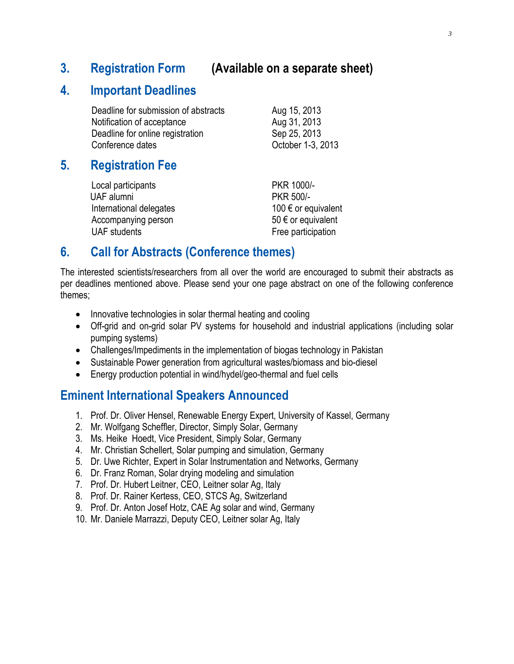#### **3. Registration Form (Available on a separate sheet)**

#### **4. Important Deadlines**

| Deadline for submission of abstracts | Aug 15, 2013      |
|--------------------------------------|-------------------|
| Notification of acceptance           | Aug 31, 2013      |
| Deadline for online registration     | Sep 25, 2013      |
| Conference dates                     | October 1-3, 2013 |

#### **5. Registration Fee**

Local participants **PKR 1000/-** UAF alumni PKR 500/- International delegates  $100 \epsilon$  or equivalent Accompanying person  $50 \in \text{or equivalent}$ UAF students **Free participation** 

## **6. Call for Abstracts (Conference themes)**

The interested scientists/researchers from all over the world are encouraged to submit their abstracts as per deadlines mentioned above. Please send your one page abstract on one of the following conference themes;

- Innovative technologies in solar thermal heating and cooling
- Off-grid and on-grid solar PV systems for household and industrial applications (including solar pumping systems)
- Challenges/Impediments in the implementation of biogas technology in Pakistan
- Sustainable Power generation from agricultural wastes/biomass and bio-diesel
- Energy production potential in wind/hydel/geo-thermal and fuel cells

### **Eminent International Speakers Announced**

- 1. Prof. Dr. Oliver Hensel, Renewable Energy Expert, University of Kassel, Germany
- 2. Mr. Wolfgang Scheffler, Director, Simply Solar, Germany
- 3. Ms. Heike Hoedt, Vice President, Simply Solar, Germany
- 4. Mr. Christian Schellert, Solar pumping and simulation, Germany
- 5. Dr. Uwe Richter, Expert in Solar Instrumentation and Networks, Germany
- 6. Dr. Franz Roman, Solar drying modeling and simulation
- 7. Prof. Dr. Hubert Leitner, CEO, Leitner solar Ag, Italy
- 8. Prof. Dr. Rainer Kertess, CEO, STCS Ag, Switzerland
- 9. Prof. Dr. Anton Josef Hotz, CAE Ag solar and wind, Germany
- 10. Mr. Daniele Marrazzi, Deputy CEO, Leitner solar Ag, Italy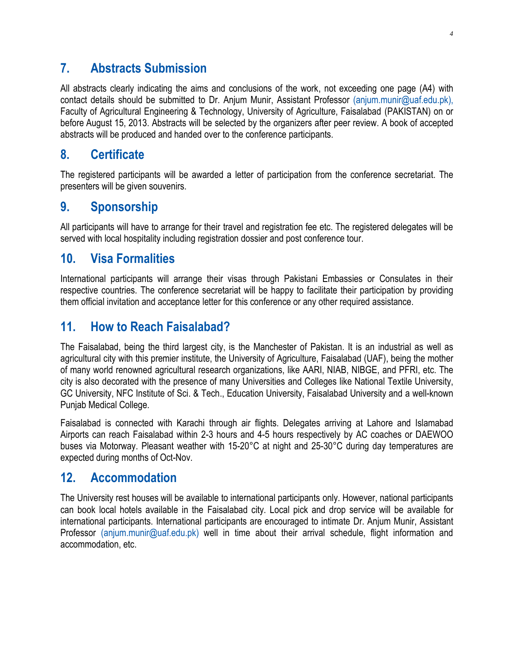#### **7. Abstracts Submission**

All abstracts clearly indicating the aims and conclusions of the work, not exceeding one page (A4) with contact details should be submitted to Dr. Anjum Munir, Assistant Professor [\(anjum.munir@uaf.edu.pk\)](mailto:anjum.munir@uaf.edu.pk), Faculty of Agricultural Engineering & Technology, University of Agriculture, Faisalabad (PAKISTAN) on or before August 15, 2013. Abstracts will be selected by the organizers after peer review. A book of accepted abstracts will be produced and handed over to the conference participants.

#### **8. Certificate**

The registered participants will be awarded a letter of participation from the conference secretariat. The presenters will be given souvenirs.

#### **9. Sponsorship**

All participants will have to arrange for their travel and registration fee etc. The registered delegates will be served with local hospitality including registration dossier and post conference tour.

#### **10. Visa Formalities**

International participants will arrange their visas through Pakistani Embassies or Consulates in their respective countries. The conference secretariat will be happy to facilitate their participation by providing them official invitation and acceptance letter for this conference or any other required assistance.

### **11. How to Reach Faisalabad?**

The Faisalabad, being the third largest city, is the Manchester of Pakistan. It is an industrial as well as agricultural city with this premier institute, the University of Agriculture, Faisalabad (UAF), being the mother of many world renowned agricultural research organizations, like AARI, NIAB, NIBGE, and PFRI, etc. The city is also decorated with the presence of many Universities and Colleges like National Textile University, GC University, NFC Institute of Sci. & Tech., Education University, Faisalabad University and a well-known Punjab Medical College.

Faisalabad is connected with Karachi through air flights. Delegates arriving at Lahore and Islamabad Airports can reach Faisalabad within 2-3 hours and 4-5 hours respectively by AC coaches or DAEWOO buses via Motorway. Pleasant weather with 15-20°C at night and 25-30°C during day temperatures are expected during months of Oct-Nov.

#### **12. Accommodation**

The University rest houses will be available to international participants only. However, national participants can book local hotels available in the Faisalabad city. Local pick and drop service will be available for international participants. International participants are encouraged to intimate Dr. Anjum Munir, Assistant Professor [\(anjum.munir@uaf.edu.pk\)](mailto:anjum.munir@uaf.edu.pk) well in time about their arrival schedule, flight information and accommodation, etc.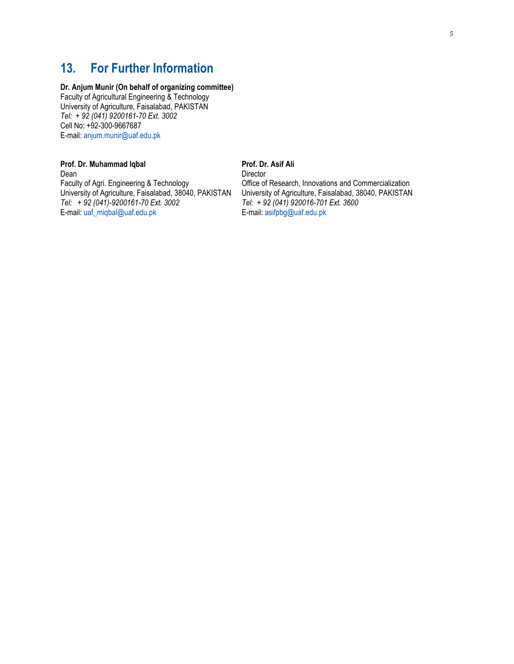## **13. For Further Information**

#### **Dr. Anjum Munir (On behalf of organizing committee)**

Faculty of Agricultural Engineering & Technology University of Agriculture, Faisalabad, PAKISTAN *Tel: + 92 (041) 9200161-70 Ext. 3002* Cell No: +92-300-9667687 E-mail: [anjum.munir@uaf.edu.pk](mailto:anjum.munir@uaf.edu.pk)

#### **Prof. Dr. Muhammad Iqbal Prof. Dr. Asif Ali**

Dean Director Faculty of Agri. Engineering & Technology Office of Research, Innovations and Commercialization University of Agriculture, Faisalabad, 38040, PAKISTAN University of Agriculture, Faisalabad, 38040, PAKISTAN Tel: + 92 (041) 920016-701 Ext. 3600 *Tel:* + 92 (041)-9200161-70 *Ext.* 3002 *Tel:* + 92 (041) 920016-701<br>E-mail: uaf\_migbal@uaf.edu.pk **E-mail:** asifpbg@uaf.edu.pk E-mail: [uaf\\_miqbal@uaf.edu.pk](mailto:uaf_miqbal@uaf.edu.pk)